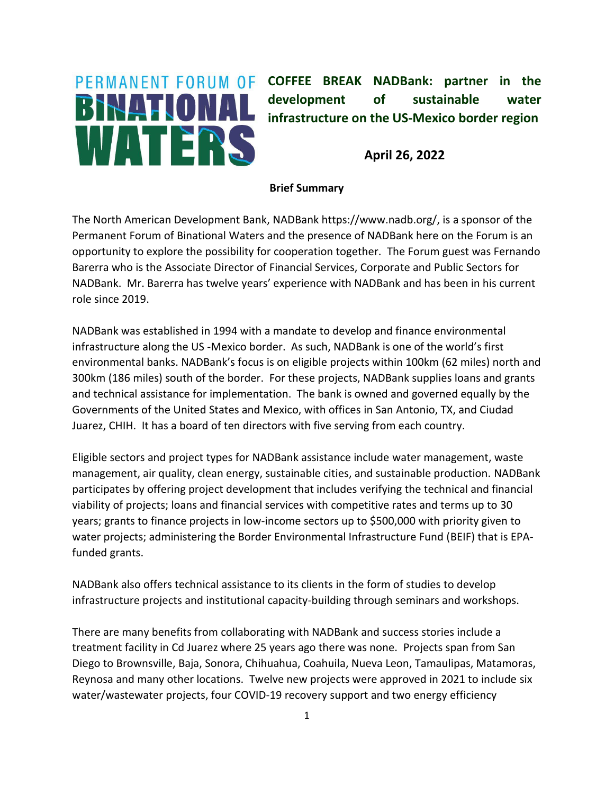## BINATIONAL WATERS

**PERMANENT FORUM OF COFFEE BREAK NADBank: partner in the development of sustainable water infrastructure on the US-Mexico border region**

**April 26, 2022**

## **Brief Summary**

The North American Development Bank, NADBank https://www.nadb.org/, is a sponsor of the Permanent Forum of Binational Waters and the presence of NADBank here on the Forum is an opportunity to explore the possibility for cooperation together. The Forum guest was Fernando Barerra who is the Associate Director of Financial Services, Corporate and Public Sectors for NADBank. Mr. Barerra has twelve years' experience with NADBank and has been in his current role since 2019.

NADBank was established in 1994 with a mandate to develop and finance environmental infrastructure along the US -Mexico border. As such, NADBank is one of the world's first environmental banks. NADBank's focus is on eligible projects within 100km (62 miles) north and 300km (186 miles) south of the border. For these projects, NADBank supplies loans and grants and technical assistance for implementation. The bank is owned and governed equally by the Governments of the United States and Mexico, with offices in San Antonio, TX, and Ciudad Juarez, CHIH. It has a board of ten directors with five serving from each country.

Eligible sectors and project types for NADBank assistance include water management, waste management, air quality, clean energy, sustainable cities, and sustainable production. NADBank participates by offering project development that includes verifying the technical and financial viability of projects; loans and financial services with competitive rates and terms up to 30 years; grants to finance projects in low-income sectors up to \$500,000 with priority given to water projects; administering the Border Environmental Infrastructure Fund (BEIF) that is EPAfunded grants.

NADBank also offers technical assistance to its clients in the form of studies to develop infrastructure projects and institutional capacity-building through seminars and workshops.

There are many benefits from collaborating with NADBank and success stories include a treatment facility in Cd Juarez where 25 years ago there was none. Projects span from San Diego to Brownsville, Baja, Sonora, Chihuahua, Coahuila, Nueva Leon, Tamaulipas, Matamoras, Reynosa and many other locations. Twelve new projects were approved in 2021 to include six water/wastewater projects, four COVID-19 recovery support and two energy efficiency